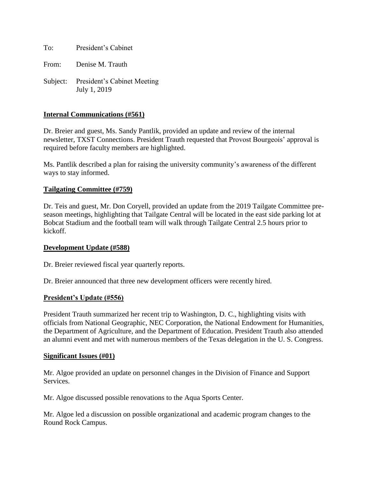To: President's Cabinet

From: Denise M. Trauth

Subject: President's Cabinet Meeting July 1, 2019

### **Internal Communications (#561)**

Dr. Breier and guest, Ms. Sandy Pantlik, provided an update and review of the internal newsletter, TXST Connections. President Trauth requested that Provost Bourgeois' approval is required before faculty members are highlighted.

Ms. Pantlik described a plan for raising the university community's awareness of the different ways to stay informed.

### **Tailgating Committee (#759)**

Dr. Teis and guest, Mr. Don Coryell, provided an update from the 2019 Tailgate Committee preseason meetings, highlighting that Tailgate Central will be located in the east side parking lot at Bobcat Stadium and the football team will walk through Tailgate Central 2.5 hours prior to kickoff.

### **Development Update (#588)**

Dr. Breier reviewed fiscal year quarterly reports.

Dr. Breier announced that three new development officers were recently hired.

### **President's Update (#556)**

President Trauth summarized her recent trip to Washington, D. C., highlighting visits with officials from National Geographic, NEC Corporation, the National Endowment for Humanities, the Department of Agriculture, and the Department of Education. President Trauth also attended an alumni event and met with numerous members of the Texas delegation in the U. S. Congress.

#### **Significant Issues (#01)**

Mr. Algoe provided an update on personnel changes in the Division of Finance and Support Services.

Mr. Algoe discussed possible renovations to the Aqua Sports Center.

Mr. Algoe led a discussion on possible organizational and academic program changes to the Round Rock Campus.